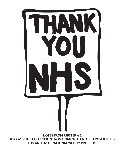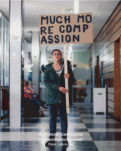## MUCH MO RE COMP

**MUCH MORE COMPASSION Sign Paintings for Plymouth** Peter Liversidge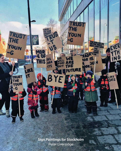**Sign Paintings for Stockholm** Peter Liversidge

TRUS<sub>1</sub>

THE

**Ne** 

WE

FIND

OUT

MOR

-E 01

ĸE

П

Ş E

IKE<br>LABB

 $-175$ 

 $\frac{1}{2}$ 

YOUN

**UTURE** 

THE SUN SET OV

HE oLo

VM

**DUN** 

**TOR HE** 

**DOOK** 

EVER

CATS

ſ,

TRUST<br>THE

YOUN

TRUST<br>THE<br>YOUN

 $-G$ 

 $\cdot$  G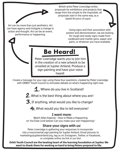British artist Peter Liversidge writes proposals for exhibitions and projects that range from the simple to the imposible. all proposals start in the same way, as a typed A4 piece of paper.

Art can be more than just aesthetics. Art can have agency and instigate a change in action and thought. Art can be an event, performance or happening.

Using signs and their association with protest and demonstration, we are looking for rough and ready signs made from cardboard and marker pens, paper and paint, or whatever you have available.

## **Be Heard!**

Peter Liversidge wants you to join him in the creation of a new artwork to be unveiled at Jupiter Artland. Produce a sign painting and have your voice heard!

Create a message for your sign using these four questions, created by Peter Liversidge with ORBIT Youth Council to stimulate debate on what's happening right now.

1. Where do you live in Scotland?

 $2.$  What is the best thing about where you are?

 $\mathbf{3}$ . If anything, what would you like to change?

4. What would you like to tell everyone?

## **I want more**:

Watch Allan Kaprow - How to Make a Happening on YouTube (Link below) Can you make your own Happening?

## **Share your signs with us**!

Peter Liversidge is gathering your responses to incorporate into a monumental sign painting for Jupiter Artland. Email pictures to marketing@jupiterartland.org, tag us on Instagram, Twitter, or Facebook, or complete online via link in our bio!

**Orbit Youth Council are the beating heart of the learning foundation at Jupiter. We want to thank them for working so hard to bring Peters proposal to life.**